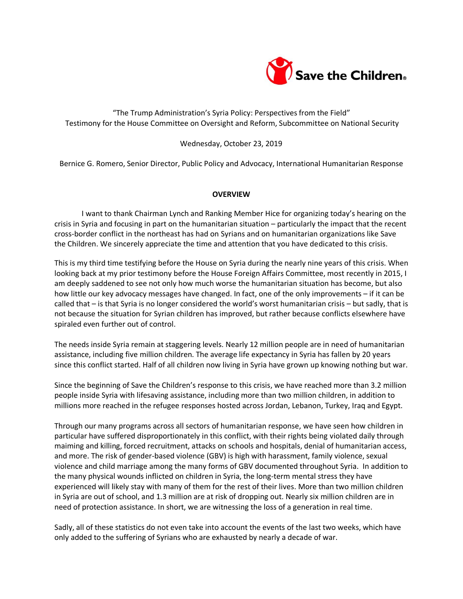

# "The Trump Administration's Syria Policy: Perspectives from the Field" Testimony for the House Committee on Oversight and Reform, Subcommittee on National Security

### Wednesday, October 23, 2019

Bernice G. Romero, Senior Director, Public Policy and Advocacy, International Humanitarian Response

#### **OVERVIEW**

I want to thank Chairman Lynch and Ranking Member Hice for organizing today's hearing on the crisis in Syria and focusing in part on the humanitarian situation – particularly the impact that the recent cross-border conflict in the northeast has had on Syrians and on humanitarian organizations like Save the Children. We sincerely appreciate the time and attention that you have dedicated to this crisis.

This is my third time testifying before the House on Syria during the nearly nine years of this crisis. When looking back at my prior testimony before the House Foreign Affairs Committee, most recently in 2015, I am deeply saddened to see not only how much worse the humanitarian situation has become, but also how little our key advocacy messages have changed. In fact, one of the only improvements – if it can be called that – is that Syria is no longer considered the world's worst humanitarian crisis – but sadly, that is not because the situation for Syrian children has improved, but rather because conflicts elsewhere have spiraled even further out of control.

The needs inside Syria remain at staggering levels. Nearly 12 million people are in need of humanitarian assistance, including five million children. The average life expectancy in Syria has fallen by 20 years since this conflict started. Half of all children now living in Syria have grown up knowing nothing but war.

Since the beginning of Save the Children's response to this crisis, we have reached more than 3.2 million people inside Syria with lifesaving assistance, including more than two million children, in addition to millions more reached in the refugee responses hosted across Jordan, Lebanon, Turkey, Iraq and Egypt.

Through our many programs across all sectors of humanitarian response, we have seen how children in particular have suffered disproportionately in this conflict, with their rights being violated daily through maiming and killing, forced recruitment, attacks on schools and hospitals, denial of humanitarian access, and more. The risk of gender-based violence (GBV) is high with harassment, family violence, sexual violence and child marriage among the many forms of GBV documented throughout Syria. In addition to the many physical wounds inflicted on children in Syria, the long-term mental stress they have experienced will likely stay with many of them for the rest of their lives. More than two million children in Syria are out of school, and 1.3 million are at risk of dropping out. Nearly six million children are in need of protection assistance. In short, we are witnessing the loss of a generation in real time.

Sadly, all of these statistics do not even take into account the events of the last two weeks, which have only added to the suffering of Syrians who are exhausted by nearly a decade of war.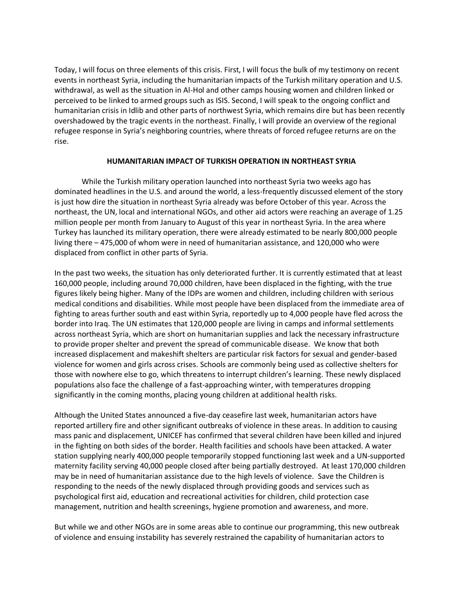Today, I will focus on three elements of this crisis. First, I will focus the bulk of my testimony on recent events in northeast Syria, including the humanitarian impacts of the Turkish military operation and U.S. withdrawal, as well as the situation in Al-Hol and other camps housing women and children linked or perceived to be linked to armed groups such as ISIS. Second, I will speak to the ongoing conflict and humanitarian crisis in Idlib and other parts of northwest Syria, which remains dire but has been recently overshadowed by the tragic events in the northeast. Finally, I will provide an overview of the regional refugee response in Syria's neighboring countries, where threats of forced refugee returns are on the rise.

### **HUMANITARIAN IMPACT OF TURKISH OPERATION IN NORTHEAST SYRIA**

While the Turkish military operation launched into northeast Syria two weeks ago has dominated headlines in the U.S. and around the world, a less-frequently discussed element of the story is just how dire the situation in northeast Syria already was before October of this year. Across the northeast, the UN, local and international NGOs, and other aid actors were reaching an average of 1.25 million people per month from January to August of this year in northeast Syria. In the area where Turkey has launched its military operation, there were already estimated to be nearly 800,000 people living there – 475,000 of whom were in need of humanitarian assistance, and 120,000 who were displaced from conflict in other parts of Syria.

In the past two weeks, the situation has only deteriorated further. It is currently estimated that at least 160,000 people, including around 70,000 children, have been displaced in the fighting, with the true figures likely being higher. Many of the IDPs are women and children, including children with serious medical conditions and disabilities. While most people have been displaced from the immediate area of fighting to areas further south and east within Syria, reportedly up to 4,000 people have fled across the border into Iraq. The UN estimates that 120,000 people are living in camps and informal settlements across northeast Syria, which are short on humanitarian supplies and lack the necessary infrastructure to provide proper shelter and prevent the spread of communicable disease. We know that both increased displacement and makeshift shelters are particular risk factors for sexual and gender-based violence for women and girls across crises. Schools are commonly being used as collective shelters for those with nowhere else to go, which threatens to interrupt children's learning. These newly displaced populations also face the challenge of a fast-approaching winter, with temperatures dropping significantly in the coming months, placing young children at additional health risks.

Although the United States announced a five-day ceasefire last week, humanitarian actors have reported artillery fire and other significant outbreaks of violence in these areas. In addition to causing mass panic and displacement, UNICEF has confirmed that several children have been killed and injured in the fighting on both sides of the border. Health facilities and schools have been attacked. A water station supplying nearly 400,000 people temporarily stopped functioning last week and a UN-supported maternity facility serving 40,000 people closed after being partially destroyed. At least 170,000 children may be in need of humanitarian assistance due to the high levels of violence. Save the Children is responding to the needs of the newly displaced through providing goods and services such as psychological first aid, education and recreational activities for children, child protection case management, nutrition and health screenings, hygiene promotion and awareness, and more.

But while we and other NGOs are in some areas able to continue our programming, this new outbreak of violence and ensuing instability has severely restrained the capability of humanitarian actors to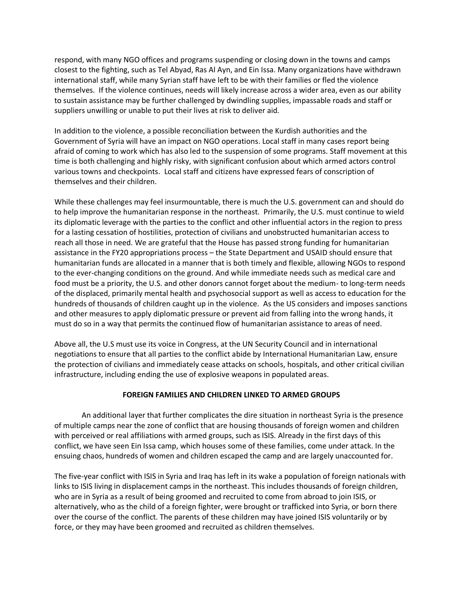respond, with many NGO offices and programs suspending or closing down in the towns and camps closest to the fighting, such as Tel Abyad, Ras Al Ayn, and Ein Issa. Many organizations have withdrawn international staff, while many Syrian staff have left to be with their families or fled the violence themselves. If the violence continues, needs will likely increase across a wider area, even as our ability to sustain assistance may be further challenged by dwindling supplies, impassable roads and staff or suppliers unwilling or unable to put their lives at risk to deliver aid.

In addition to the violence, a possible reconciliation between the Kurdish authorities and the Government of Syria will have an impact on NGO operations. Local staff in many cases report being afraid of coming to work which has also led to the suspension of some programs. Staff movement at this time is both challenging and highly risky, with significant confusion about which armed actors control various towns and checkpoints. Local staff and citizens have expressed fears of conscription of themselves and their children.

While these challenges may feel insurmountable, there is much the U.S. government can and should do to help improve the humanitarian response in the northeast. Primarily, the U.S. must continue to wield its diplomatic leverage with the parties to the conflict and other influential actors in the region to press for a lasting cessation of hostilities, protection of civilians and unobstructed humanitarian access to reach all those in need. We are grateful that the House has passed strong funding for humanitarian assistance in the FY20 appropriations process – the State Department and USAID should ensure that humanitarian funds are allocated in a manner that is both timely and flexible, allowing NGOs to respond to the ever-changing conditions on the ground. And while immediate needs such as medical care and food must be a priority, the U.S. and other donors cannot forget about the medium- to long-term needs of the displaced, primarily mental health and psychosocial support as well as access to education for the hundreds of thousands of children caught up in the violence. As the US considers and imposes sanctions and other measures to apply diplomatic pressure or prevent aid from falling into the wrong hands, it must do so in a way that permits the continued flow of humanitarian assistance to areas of need.

Above all, the U.S must use its voice in Congress, at the UN Security Council and in international negotiations to ensure that all parties to the conflict abide by International Humanitarian Law, ensure the protection of civilians and immediately cease attacks on schools, hospitals, and other critical civilian infrastructure, including ending the use of explosive weapons in populated areas.

## **FOREIGN FAMILIES AND CHILDREN LINKED TO ARMED GROUPS**

An additional layer that further complicates the dire situation in northeast Syria is the presence of multiple camps near the zone of conflict that are housing thousands of foreign women and children with perceived or real affiliations with armed groups, such as ISIS. Already in the first days of this conflict, we have seen Ein Issa camp, which houses some of these families, come under attack. In the ensuing chaos, hundreds of women and children escaped the camp and are largely unaccounted for.

The five-year conflict with ISIS in Syria and Iraq has left in its wake a population of foreign nationals with links to ISIS living in displacement camps in the northeast. This includes thousands of foreign children, who are in Syria as a result of being groomed and recruited to come from abroad to join ISIS, or alternatively, who as the child of a foreign fighter, were brought or trafficked into Syria, or born there over the course of the conflict. The parents of these children may have joined ISIS voluntarily or by force, or they may have been groomed and recruited as children themselves.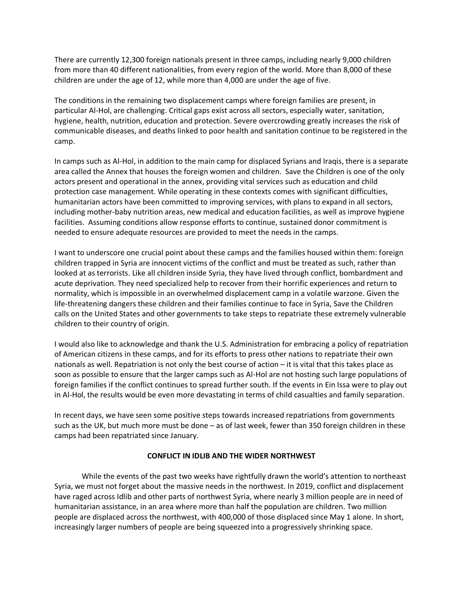There are currently 12,300 foreign nationals present in three camps, including nearly 9,000 children from more than 40 different nationalities, from every region of the world. More than 8,000 of these children are under the age of 12, while more than 4,000 are under the age of five.

The conditions in the remaining two displacement camps where foreign families are present, in particular Al-Hol, are challenging. Critical gaps exist across all sectors, especially water, sanitation, hygiene, health, nutrition, education and protection. Severe overcrowding greatly increases the risk of communicable diseases, and deaths linked to poor health and sanitation continue to be registered in the camp.

In camps such as Al-Hol, in addition to the main camp for displaced Syrians and Iraqis, there is a separate area called the Annex that houses the foreign women and children. Save the Children is one of the only actors present and operational in the annex, providing vital services such as education and child protection case management. While operating in these contexts comes with significant difficulties, humanitarian actors have been committed to improving services, with plans to expand in all sectors, including mother-baby nutrition areas, new medical and education facilities, as well as improve hygiene facilities. Assuming conditions allow response efforts to continue, sustained donor commitment is needed to ensure adequate resources are provided to meet the needs in the camps.

I want to underscore one crucial point about these camps and the families housed within them: foreign children trapped in Syria are innocent victims of the conflict and must be treated as such, rather than looked at as terrorists. Like all children inside Syria, they have lived through conflict, bombardment and acute deprivation. They need specialized help to recover from their horrific experiences and return to normality, which is impossible in an overwhelmed displacement camp in a volatile warzone. Given the life-threatening dangers these children and their families continue to face in Syria, Save the Children calls on the United States and other governments to take steps to repatriate these extremely vulnerable children to their country of origin.

I would also like to acknowledge and thank the U.S. Administration for embracing a policy of repatriation of American citizens in these camps, and for its efforts to press other nations to repatriate their own nationals as well. Repatriation is not only the best course of action – it is vital that this takes place as soon as possible to ensure that the larger camps such as Al-Hol are not hosting such large populations of foreign families if the conflict continues to spread further south. If the events in Ein Issa were to play out in Al-Hol, the results would be even more devastating in terms of child casualties and family separation.

In recent days, we have seen some positive steps towards increased repatriations from governments such as the UK, but much more must be done – as of last week, fewer than 350 foreign children in these camps had been repatriated since January.

## **CONFLICT IN IDLIB AND THE WIDER NORTHWEST**

While the events of the past two weeks have rightfully drawn the world's attention to northeast Syria, we must not forget about the massive needs in the northwest. In 2019, conflict and displacement have raged across Idlib and other parts of northwest Syria, where nearly 3 million people are in need of humanitarian assistance, in an area where more than half the population are children. Two million people are displaced across the northwest, with 400,000 of those displaced since May 1 alone. In short, increasingly larger numbers of people are being squeezed into a progressively shrinking space.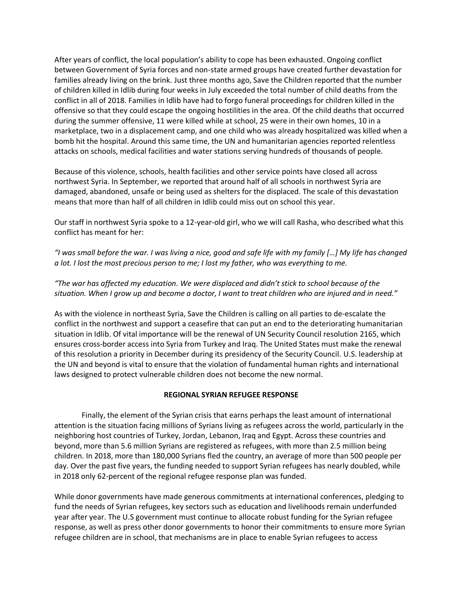After years of conflict, the local population's ability to cope has been exhausted. Ongoing conflict between Government of Syria forces and non-state armed groups have created further devastation for families already living on the brink. Just three months ago, Save the Children reported that the number of children killed in Idlib during four weeks in July exceeded the total number of child deaths from the conflict in all of 2018. Families in Idlib have had to forgo funeral proceedings for children killed in the offensive so that they could escape the ongoing hostilities in the area. Of the child deaths that occurred during the summer offensive, 11 were killed while at school, 25 were in their own homes, 10 in a marketplace, two in a displacement camp, and one child who was already hospitalized was killed when a bomb hit the hospital. Around this same time, the UN and humanitarian agencies reported relentless attacks on schools, medical facilities and water stations serving hundreds of thousands of people.

Because of this violence, schools, health facilities and other service points have closed all across northwest Syria. In September, we reported that around half of all schools in northwest Syria are damaged, abandoned, unsafe or being used as shelters for the displaced. The scale of this devastation means that more than half of all children in Idlib could miss out on school this year.

Our staff in northwest Syria spoke to a 12-year-old girl, who we will call Rasha, who described what this conflict has meant for her:

*"I was small before the war. I was living a nice, good and safe life with my family […] My life has changed a lot. I lost the most precious person to me; I lost my father, who was everything to me.*

*"The war has affected my education. We were displaced and didn't stick to school because of the situation. When I grow up and become a doctor, I want to treat children who are injured and in need."*

As with the violence in northeast Syria, Save the Children is calling on all parties to de-escalate the conflict in the northwest and support a ceasefire that can put an end to the deteriorating humanitarian situation in Idlib. Of vital importance will be the renewal of UN Security Council resolution 2165, which ensures cross-border access into Syria from Turkey and Iraq. The United States must make the renewal of this resolution a priority in December during its presidency of the Security Council. U.S. leadership at the UN and beyond is vital to ensure that the violation of fundamental human rights and international laws designed to protect vulnerable children does not become the new normal.

#### **REGIONAL SYRIAN REFUGEE RESPONSE**

Finally, the element of the Syrian crisis that earns perhaps the least amount of international attention is the situation facing millions of Syrians living as refugees across the world, particularly in the neighboring host countries of Turkey, Jordan, Lebanon, Iraq and Egypt. Across these countries and beyond, more than 5.6 million Syrians are registered as refugees, with more than 2.5 million being children. In 2018, more than 180,000 Syrians fled the country, an average of more than 500 people per day. Over the past five years, the funding needed to support Syrian refugees has nearly doubled, while in 2018 only 62-percent of the regional refugee response plan was funded.

While donor governments have made generous commitments at international conferences, pledging to fund the needs of Syrian refugees, key sectors such as education and livelihoods remain underfunded year after year. The U.S government must continue to allocate robust funding for the Syrian refugee response, as well as press other donor governments to honor their commitments to ensure more Syrian refugee children are in school, that mechanisms are in place to enable Syrian refugees to access